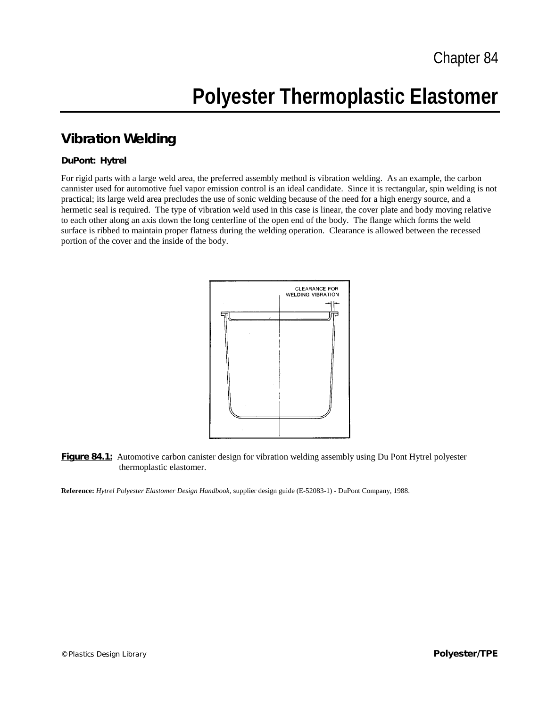# **Polyester Thermoplastic Elastomer**

### **Vibration Welding**

#### **DuPont: Hytrel**

For rigid parts with a large weld area, the preferred assembly method is vibration welding. As an example, the carbon cannister used for automotive fuel vapor emission control is an ideal candidate. Since it is rectangular, spin welding is not practical; its large weld area precludes the use of sonic welding because of the need for a high energy source, and a hermetic seal is required. The type of vibration weld used in this case is linear, the cover plate and body moving relative to each other along an axis down the long centerline of the open end of the body. The flange which forms the weld surface is ribbed to maintain proper flatness during the welding operation. Clearance is allowed between the recessed portion of the cover and the inside of the body.



#### **Figure 84.1:** Automotive carbon canister design for vibration welding assembly using Du Pont Hytrel polyester thermoplastic elastomer.

**Reference:** *Hytrel Polyester Elastomer Design Handbook,* supplier design guide (E-52083-1) - DuPont Company, 1988.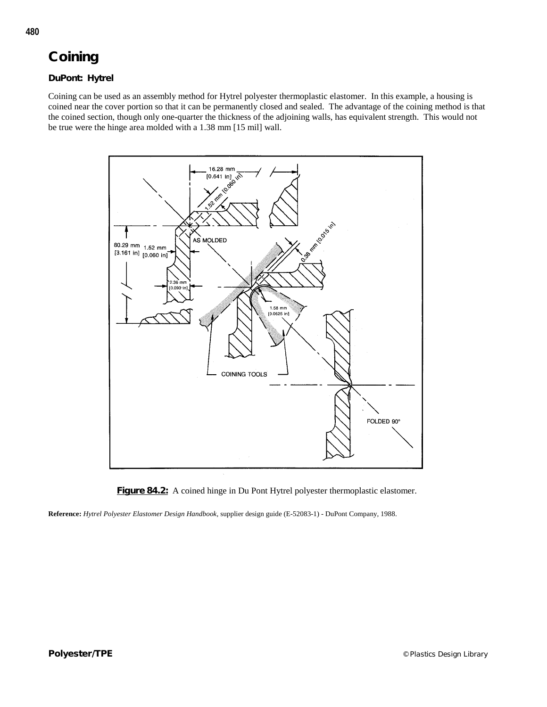### **Coining**

#### **DuPont: Hytrel**

Coining can be used as an assembly method for Hytrel polyester thermoplastic elastomer. In this example, a housing is coined near the cover portion so that it can be permanently closed and sealed. The advantage of the coining method is that the coined section, though only one-quarter the thickness of the adjoining walls, has equivalent strength. This would not be true were the hinge area molded with a 1.38 mm [15 mil] wall.





**Reference:** *Hytrel Polyester Elastomer Design Handbook,* supplier design guide (E-52083-1) - DuPont Company, 1988.